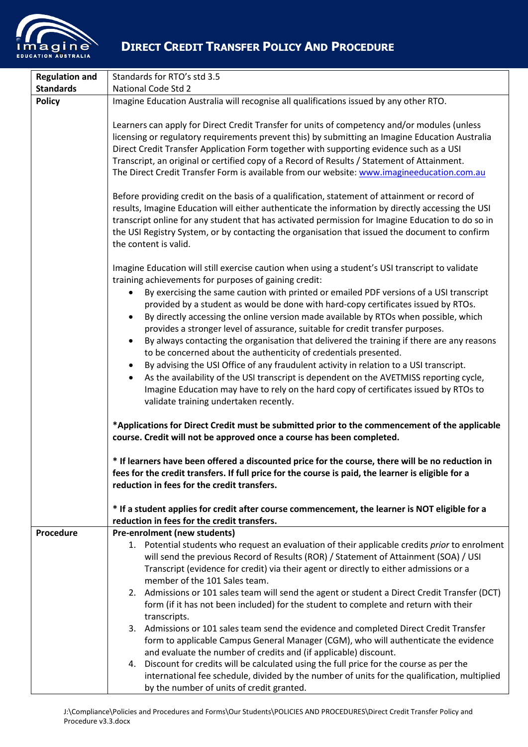

## **DIRECT CREDIT TRANSFER POLICY AND PROCEDURE**

| <b>Regulation and</b> | Standards for RTO's std 3.5                                                                                                                                                                                                                                                                                                                                                                                                                                                                                                                                                                                                                                                                   |
|-----------------------|-----------------------------------------------------------------------------------------------------------------------------------------------------------------------------------------------------------------------------------------------------------------------------------------------------------------------------------------------------------------------------------------------------------------------------------------------------------------------------------------------------------------------------------------------------------------------------------------------------------------------------------------------------------------------------------------------|
| <b>Standards</b>      | National Code Std 2                                                                                                                                                                                                                                                                                                                                                                                                                                                                                                                                                                                                                                                                           |
| <b>Policy</b>         | Imagine Education Australia will recognise all qualifications issued by any other RTO.                                                                                                                                                                                                                                                                                                                                                                                                                                                                                                                                                                                                        |
|                       | Learners can apply for Direct Credit Transfer for units of competency and/or modules (unless<br>licensing or regulatory requirements prevent this) by submitting an Imagine Education Australia<br>Direct Credit Transfer Application Form together with supporting evidence such as a USI<br>Transcript, an original or certified copy of a Record of Results / Statement of Attainment.<br>The Direct Credit Transfer Form is available from our website: www.imagineeducation.com.au<br>Before providing credit on the basis of a qualification, statement of attainment or record of<br>results, Imagine Education will either authenticate the information by directly accessing the USI |
|                       | transcript online for any student that has activated permission for Imagine Education to do so in<br>the USI Registry System, or by contacting the organisation that issued the document to confirm<br>the content is valid.                                                                                                                                                                                                                                                                                                                                                                                                                                                                  |
|                       | Imagine Education will still exercise caution when using a student's USI transcript to validate<br>training achievements for purposes of gaining credit:<br>By exercising the same caution with printed or emailed PDF versions of a USI transcript<br>$\bullet$                                                                                                                                                                                                                                                                                                                                                                                                                              |
|                       | provided by a student as would be done with hard-copy certificates issued by RTOs.<br>By directly accessing the online version made available by RTOs when possible, which<br>provides a stronger level of assurance, suitable for credit transfer purposes.<br>By always contacting the organisation that delivered the training if there are any reasons<br>$\bullet$<br>to be concerned about the authenticity of credentials presented.                                                                                                                                                                                                                                                   |
|                       | By advising the USI Office of any fraudulent activity in relation to a USI transcript.<br>$\bullet$<br>As the availability of the USI transcript is dependent on the AVETMISS reporting cycle,<br>Imagine Education may have to rely on the hard copy of certificates issued by RTOs to<br>validate training undertaken recently.                                                                                                                                                                                                                                                                                                                                                             |
|                       | *Applications for Direct Credit must be submitted prior to the commencement of the applicable<br>course. Credit will not be approved once a course has been completed.                                                                                                                                                                                                                                                                                                                                                                                                                                                                                                                        |
|                       | * If learners have been offered a discounted price for the course, there will be no reduction in<br>fees for the credit transfers. If full price for the course is paid, the learner is eligible for a<br>reduction in fees for the credit transfers.                                                                                                                                                                                                                                                                                                                                                                                                                                         |
|                       | * If a student applies for credit after course commencement, the learner is NOT eligible for a<br>reduction in fees for the credit transfers.                                                                                                                                                                                                                                                                                                                                                                                                                                                                                                                                                 |
| Procedure             | Pre-enrolment (new students)                                                                                                                                                                                                                                                                                                                                                                                                                                                                                                                                                                                                                                                                  |
|                       | 1. Potential students who request an evaluation of their applicable credits prior to enrolment<br>will send the previous Record of Results (ROR) / Statement of Attainment (SOA) / USI<br>Transcript (evidence for credit) via their agent or directly to either admissions or a<br>member of the 101 Sales team.                                                                                                                                                                                                                                                                                                                                                                             |
|                       | 2. Admissions or 101 sales team will send the agent or student a Direct Credit Transfer (DCT)<br>form (if it has not been included) for the student to complete and return with their<br>transcripts.                                                                                                                                                                                                                                                                                                                                                                                                                                                                                         |
|                       | 3. Admissions or 101 sales team send the evidence and completed Direct Credit Transfer<br>form to applicable Campus General Manager (CGM), who will authenticate the evidence<br>and evaluate the number of credits and (if applicable) discount.                                                                                                                                                                                                                                                                                                                                                                                                                                             |
|                       | Discount for credits will be calculated using the full price for the course as per the<br>4.<br>international fee schedule, divided by the number of units for the qualification, multiplied<br>by the number of units of credit granted.                                                                                                                                                                                                                                                                                                                                                                                                                                                     |